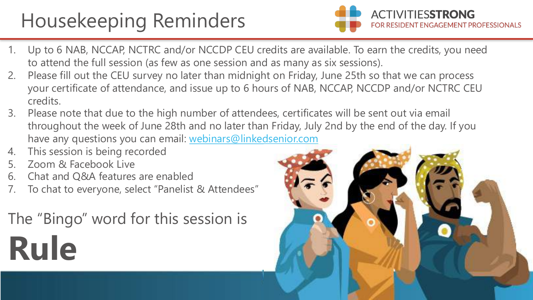# Housekeeping Reminders



- 1. Up to 6 NAB, NCCAP, NCTRC and/or NCCDP CEU credits are available. To earn the credits, you need to attend the full session (as few as one session and as many as six sessions).
- 2. Please fill out the CEU survey no later than midnight on Friday, June 25th so that we can process your certificate of attendance, and issue up to 6 hours of NAB, NCCAP, NCCDP and/or NCTRC CEU credits.
- 3. Please note that due to the high number of attendees, certificates will be sent out via email throughout the week of June 28th and no later than Friday, July 2nd by the end of the day. If you have any questions you can email: [webinars@linkedsenior.com](mailto:webinars@linkedsenior.com)
- 4. This session is being recorded
- 5. Zoom & Facebook Live
- 6. Chat and Q&A features are enabled
- 7. To chat to everyone, select "Panelist & Attendees"

The "Bingo" word for this session is **Rule**

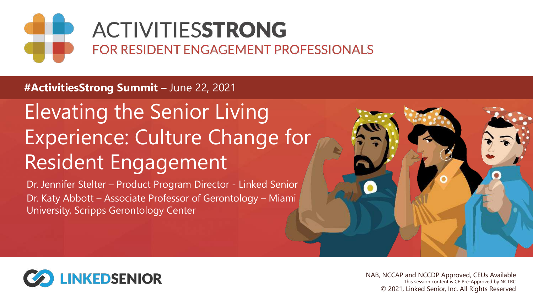

**#ActivitiesStrong Summit –** June 22, 2021

# Elevating the Senior Living Experience: Culture Change for Resident Engagement

Dr. Jennifer Stelter – Product Program Director - Linked Senior Dr. Katy Abbott – Associate Professor of Gerontology – Miami University, Scripps Gerontology Center





NAB, NCCAP and NCCDP Approved, CEUs Available This session content is CE Pre-Approved by NCTRC © 2021, Linked Senior, Inc. All Rights Reserved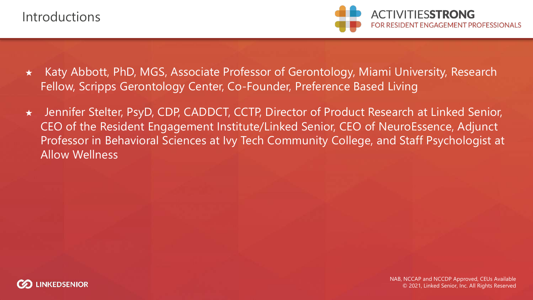

- ★ Katy Abbott, PhD, MGS, Associate Professor of Gerontology, Miami University, Research Fellow, Scripps Gerontology Center, Co-Founder, Preference Based Living
- ★ Jennifer Stelter, PsyD, CDP, CADDCT, CCTP, Director of Product Research at Linked Senior, CEO of the Resident Engagement Institute/Linked Senior, CEO of NeuroEssence, Adjunct Professor in Behavioral Sciences at Ivy Tech Community College, and Staff Psychologist at Allow Wellness

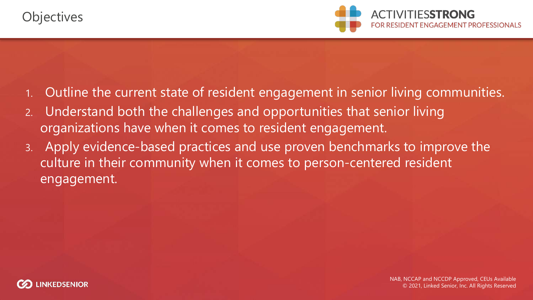

- 1. Outline the current state of resident engagement in senior living communities.
- 2. Understand both the challenges and opportunities that senior living organizations have when it comes to resident engagement.
- 3. Apply evidence-based practices and use proven benchmarks to improve the culture in their community when it comes to person-centered resident engagement.

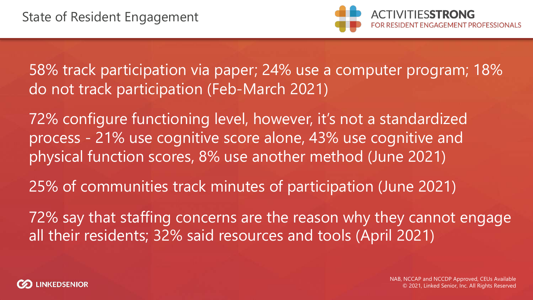

58% track participation via paper; 24% use a computer program; 18% do not track participation (Feb-March 2021)

72% configure functioning level, however, it's not a standardized process - 21% use cognitive score alone, 43% use cognitive and physical function scores, 8% use another method (June 2021)

25% of communities track minutes of participation (June 2021)

72% say that staffing concerns are the reason why they cannot engage all their residents; 32% said resources and tools (April 2021)

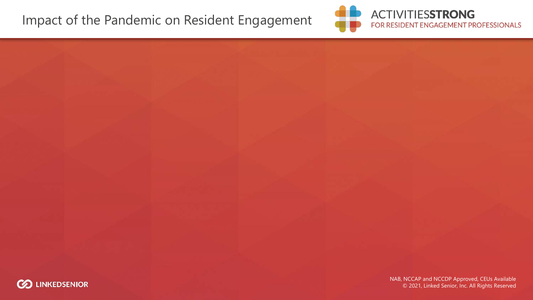# Impact of the Pandemic on Resident Engagement



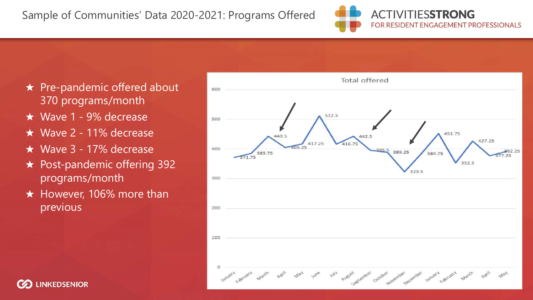Sample of Communities' Data 2020-2021: Programs Offered



- ★ Pre-pandemic offered about 370 programs/month
- ★ Wave 1 9% decrease
- ★ Wave 2 11% decrease
- ★ Wave 3 17% decrease
- ★ Post-pandemic offering 392 programs/month
- $\star$  However, 106% more than previous

**LINKEDSENIOR** 

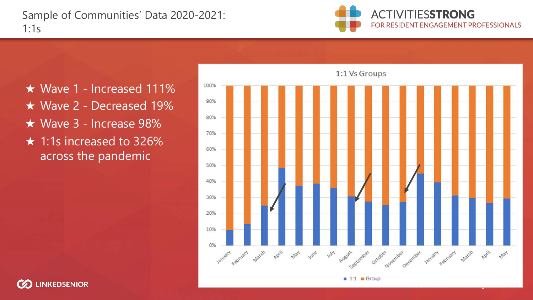Sample of Communities' Data 2020-2021: 1:1s



- $\star$  Wave 1 Increased 111%
- ★ Wave 2 Decreased 19%
- $\star$  Wave 3 Increase 98%
- ★ 1:1s increased to 326% across the pandemic



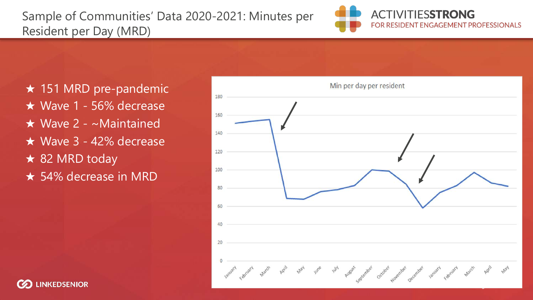# Sample of Communities' Data 2020-2021: Minutes per Resident per Day (MRD)



- ★ 151 MRD pre-pandemic
- ★ Wave 1 56% decrease
- ★ Wave 2 ~Maintained
- $\star$  Wave 3 42% decrease
- ★ 82 MRD today
- ★ 54% decrease in MRD



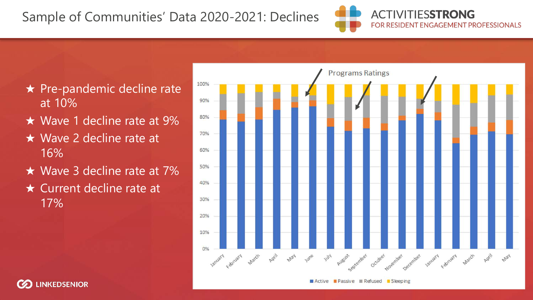Sample of Communities' Data 2020-2021: Declines



- ★ Pre-pandemic decline rate at 10%
- ★ Wave 1 decline rate at 9%
- ★ Wave 2 decline rate at 16%
- ★ Wave 3 decline rate at 7%
- ★ Current decline rate at 17%



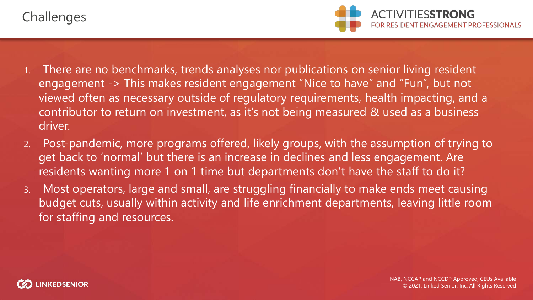

- 1. There are no benchmarks, trends analyses nor publications on senior living resident engagement -> This makes resident engagement "Nice to have" and "Fun", but not viewed often as necessary outside of regulatory requirements, health impacting, and a contributor to return on investment, as it's not being measured & used as a business driver.
- 2. Post-pandemic, more programs offered, likely groups, with the assumption of trying to get back to 'normal' but there is an increase in declines and less engagement. Are residents wanting more 1 on 1 time but departments don't have the staff to do it?
- 3. Most operators, large and small, are struggling financially to make ends meet causing budget cuts, usually within activity and life enrichment departments, leaving little room for staffing and resources.

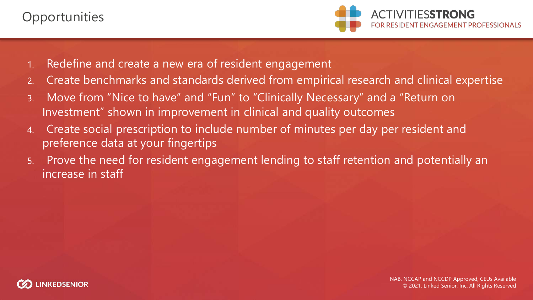

- Redefine and create a new era of resident engagement
- 2. Create benchmarks and standards derived from empirical research and clinical expertise
- 3. Move from "Nice to have" and "Fun" to "Clinically Necessary" and a "Return on Investment" shown in improvement in clinical and quality outcomes
- 4. Create social prescription to include number of minutes per day per resident and preference data at your fingertips
- 5. Prove the need for resident engagement lending to staff retention and potentially an increase in staff

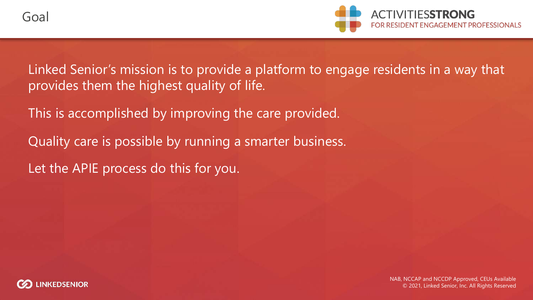

Linked Senior's mission is to provide a platform to engage residents in a way that provides them the highest quality of life.

This is accomplished by improving the care provided.

Quality care is possible by running a smarter business.

Let the APIE process do this for you.

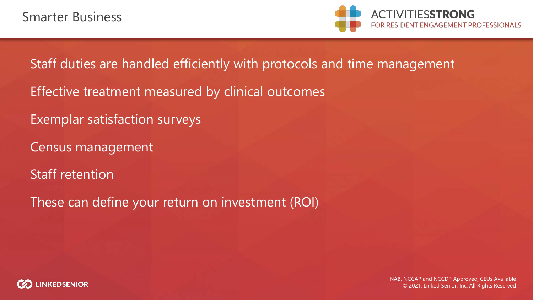

Staff duties are handled efficiently with protocols and time management

- Effective treatment measured by clinical outcomes
- Exemplar satisfaction surveys
- Census management
- Staff retention

These can define your return on investment (ROI)

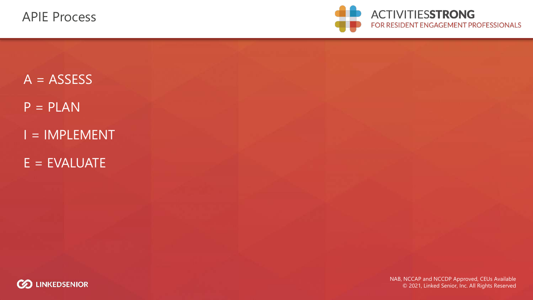APIE Process





 $\circledcirc$ **LINKEDSENIOR**  NAB, NCCAP and NCCDP Approved, CEUs Available © 2021, Linked Senior, Inc. All Rights Reserved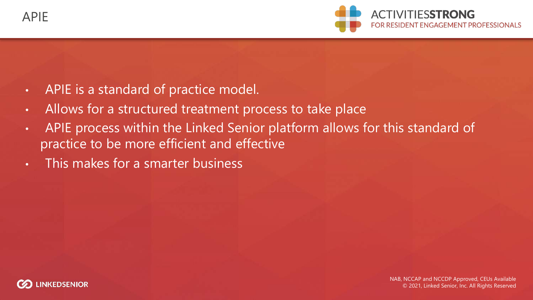

- APIE is a standard of practice model.
- Allows for a structured treatment process to take place
- APIE process within the Linked Senior platform allows for this standard of practice to be more efficient and effective
- This makes for a smarter business

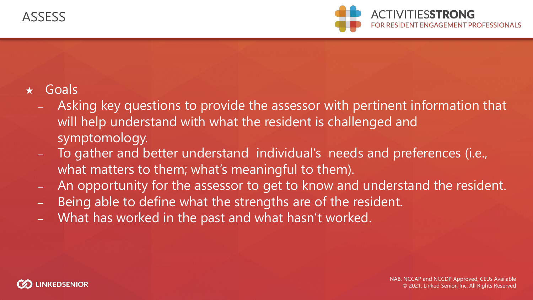ASSESS



### $\star$  Goals

- Asking key questions to provide the assessor with pertinent information that will help understand with what the resident is challenged and symptomology.
- To gather and better understand individual's needs and preferences (i.e., what matters to them; what's meaningful to them).
- An opportunity for the assessor to get to know and understand the resident.
- Being able to define what the strengths are of the resident.
- What has worked in the past and what hasn't worked.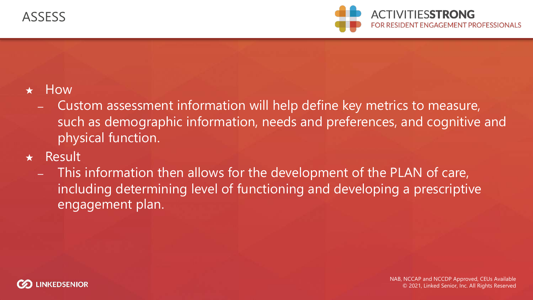



#### ★ How

- Custom assessment information will help define key metrics to measure, such as demographic information, needs and preferences, and cognitive and physical function.
- ★ Result
	- This information then allows for the development of the PLAN of care, including determining level of functioning and developing a prescriptive engagement plan.

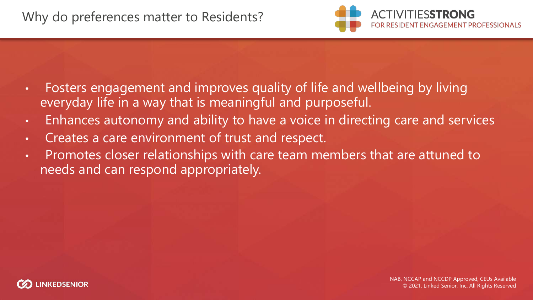

- Fosters engagement and improves quality of life and wellbeing by living everyday life in a way that is meaningful and purposeful.
- Enhances autonomy and ability to have a voice in directing care and services
- Creates a care environment of trust and respect.
- Promotes closer relationships with care team members that are attuned to needs and can respond appropriately.

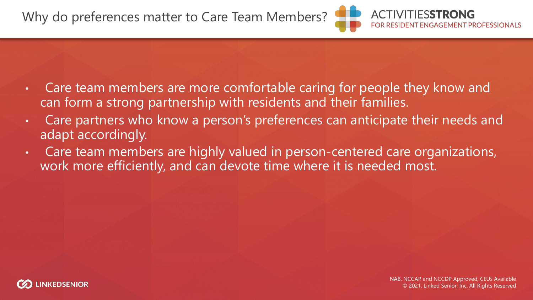

- Care team members are more comfortable caring for people they know and can form a strong partnership with residents and their families.
- Care partners who know a person's preferences can anticipate their needs and adapt accordingly.
- Care team members are highly valued in person-centered care organizations, work more efficiently, and can devote time where it is needed most.

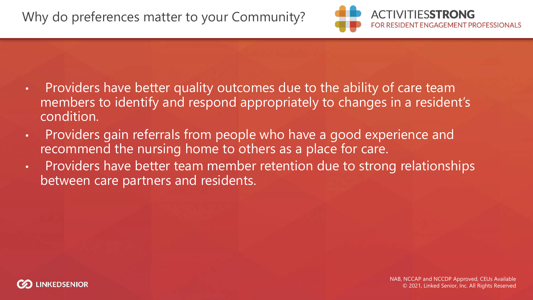

- Providers have better quality outcomes due to the ability of care team members to identify and respond appropriately to changes in a resident's condition.
- Providers gain referrals from people who have a good experience and recommend the nursing home to others as a place for care.
- Providers have better team member retention due to strong relationships between care partners and residents.

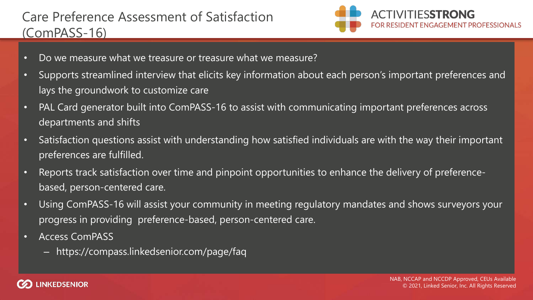# Care Preference Assessment of Satisfaction (ComPASS-16)



- Do we measure what we treasure or treasure what we measure?
- Supports streamlined interview that elicits key information about each person's important preferences and lays the groundwork to customize care
- PAL Card generator built into ComPASS-16 to assist with communicating important preferences across departments and shifts
- Satisfaction questions assist with understanding how satisfied individuals are with the way their important preferences are fulfilled.
- Reports track satisfaction over time and pinpoint opportunities to enhance the delivery of preferencebased, person-centered care.
- Using ComPASS-16 will assist your community in meeting regulatory mandates and shows surveyors your progress in providing preference-based, person-centered care.
- Access ComPASS
	- https://compass.linkedsenior.com/page/faq

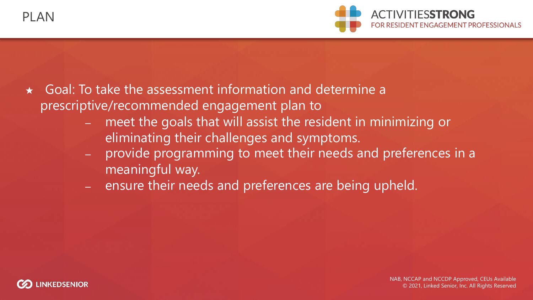

- $\star$  Goal: To take the assessment information and determine a prescriptive/recommended engagement plan to
	- meet the goals that will assist the resident in minimizing or eliminating their challenges and symptoms.
	- provide programming to meet their needs and preferences in a meaningful way.
	- ensure their needs and preferences are being upheld.

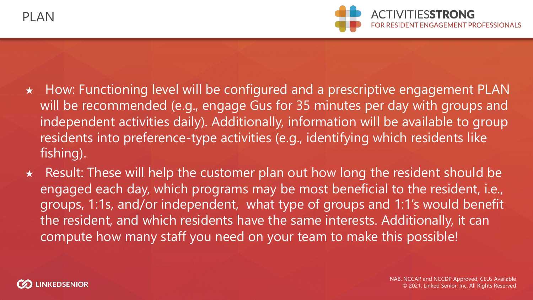

- ★ How: Functioning level will be configured and a prescriptive engagement PLAN will be recommended (e.g., engage Gus for 35 minutes per day with groups and independent activities daily). Additionally, information will be available to group residents into preference-type activities (e.g., identifying which residents like fishing).
- ★ Result: These will help the customer plan out how long the resident should be engaged each day, which programs may be most beneficial to the resident, i.e., groups, 1:1s, and/or independent, what type of groups and 1:1's would benefit the resident, and which residents have the same interests. Additionally, it can compute how many staff you need on your team to make this possible!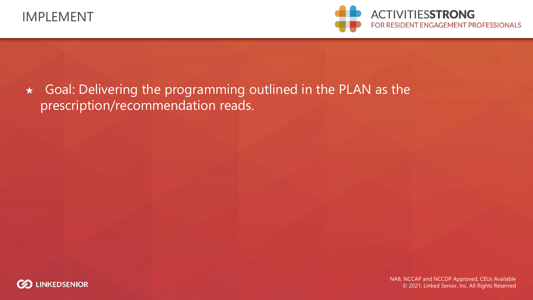



★ Goal: Delivering the programming outlined in the PLAN as the prescription/recommendation reads.



NAB, NCCAP and NCCDP Approved, CEUs Available © 2021, Linked Senior, Inc. All Rights Reserved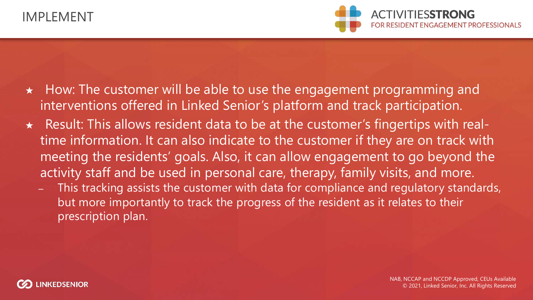

- ★ How: The customer will be able to use the engagement programming and interventions offered in Linked Senior's platform and track participation.
- ★ Result: This allows resident data to be at the customer's fingertips with realtime information. It can also indicate to the customer if they are on track with meeting the residents' goals. Also, it can allow engagement to go beyond the activity staff and be used in personal care, therapy, family visits, and more.
	- This tracking assists the customer with data for compliance and regulatory standards, but more importantly to track the progress of the resident as it relates to their prescription plan.

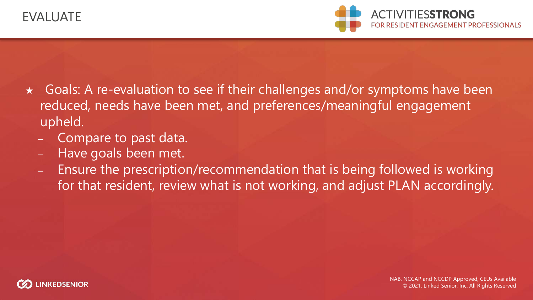

- ★ Goals: A re-evaluation to see if their challenges and/or symptoms have been reduced, needs have been met, and preferences/meaningful engagement upheld.
	- Compare to past data.
	- Have goals been met.
	- Ensure the prescription/recommendation that is being followed is working for that resident, review what is not working, and adjust PLAN accordingly.

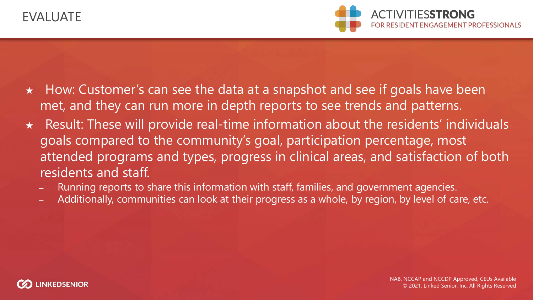

- ★ How: Customer's can see the data at a snapshot and see if goals have been met, and they can run more in depth reports to see trends and patterns.
- ★ Result: These will provide real-time information about the residents' individuals goals compared to the community's goal, participation percentage, most attended programs and types, progress in clinical areas, and satisfaction of both residents and staff.
	- Running reports to share this information with staff, families, and government agencies.
	- Additionally, communities can look at their progress as a whole, by region, by level of care, etc.

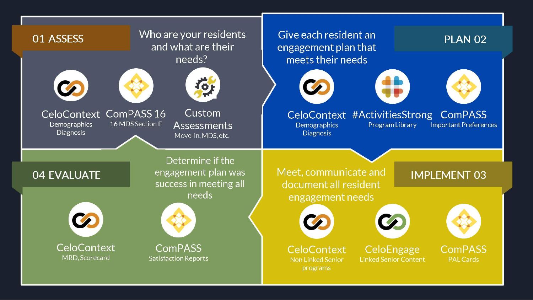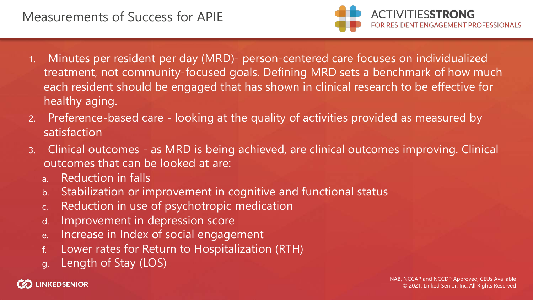# Measurements of Success for APIE



- 1. Minutes per resident per day (MRD)- person-centered care focuses on individualized treatment, not community-focused goals. Defining MRD sets a benchmark of how much each resident should be engaged that has shown in clinical research to be effective for healthy aging.
- 2. Preference-based care looking at the quality of activities provided as measured by satisfaction
- 3. Clinical outcomes as MRD is being achieved, are clinical outcomes improving. Clinical outcomes that can be looked at are:
	- a. Reduction in falls
	- b. Stabilization or improvement in cognitive and functional status
	- c. Reduction in use of psychotropic medication
	- d. Improvement in depression score
	- e. Increase in Index of social engagement
	- f. Lower rates for Return to Hospitalization (RTH)
	- g. Length of Stay (LOS)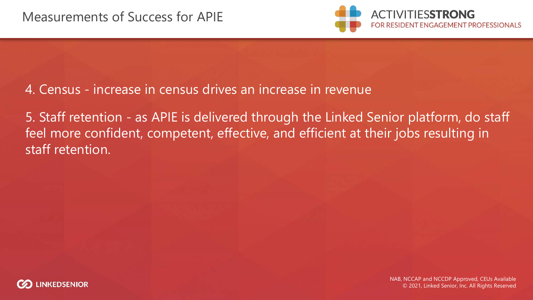

#### 4. Census - increase in census drives an increase in revenue

5. Staff retention - as APIE is delivered through the Linked Senior platform, do staff feel more confident, competent, effective, and efficient at their jobs resulting in staff retention.

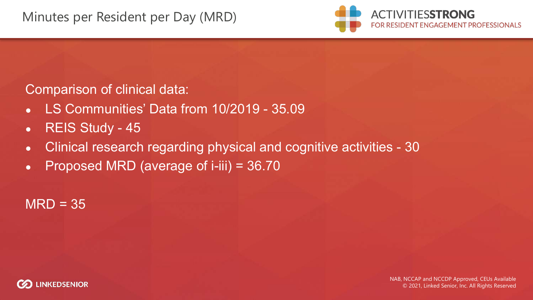

#### Comparison of clinical data:

- LS Communities' Data from 10/2019 35.09
- REIS Study 45
- Clinical research regarding physical and cognitive activities 30
- Proposed MRD (average of i-iii)  $= 36.70$

 $MRD = 35$ 

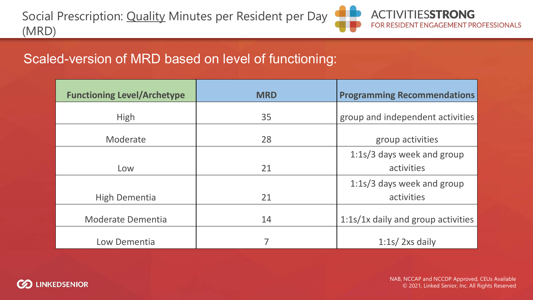

**ACTIVITIESSTRONG** FOR RESIDENT ENGAGEMENT PROFESSIONALS

# Scaled-version of MRD based on level of functioning:

| <b>Functioning Level/Archetype</b> | <b>MRD</b> | <b>Programming Recommendations</b> |
|------------------------------------|------------|------------------------------------|
| <b>High</b>                        | 35         | group and independent activities   |
| Moderate                           | 28         | group activities                   |
|                                    |            | 1:1s/3 days week and group         |
| Low                                | 21         | activities                         |
|                                    |            | 1:1s/3 days week and group         |
| <b>High Dementia</b>               | 21         | activities                         |
|                                    |            |                                    |
| Moderate Dementia                  | 14         | 1:1s/1x daily and group activities |
| Low Dementia                       |            | $1:1s/$ 2xs daily                  |

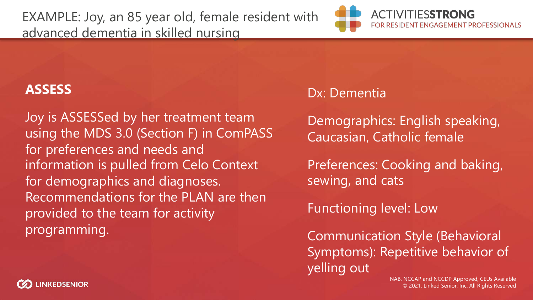EXAMPLE: Joy, an 85 year old, female resident with advanced dementia in skilled nursing



#### **ASSESS**

Joy is ASSESSed by her treatment team using the MDS 3.0 (Section F) in ComPASS for preferences and needs and information is pulled from Celo Context for demographics and diagnoses. Recommendations for the PLAN are then provided to the team for activity programming.

#### Dx: Dementia

Demographics: English speaking, Caucasian, Catholic female

Preferences: Cooking and baking, sewing, and cats

Functioning level: Low

Communication Style (Behavioral Symptoms): Repetitive behavior of yelling out

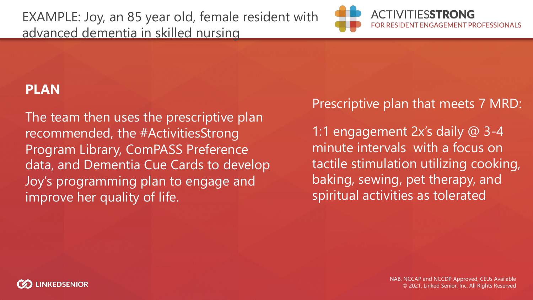

#### **ACTIVITIESSTRONG** FOR RESIDENT ENGAGEMENT PROFESSIONALS

### **PLAN**

The team then uses the prescriptive plan recommended, the #ActivitiesStrong Program Library, ComPASS Preference data, and Dementia Cue Cards to develop Joy's programming plan to engage and improve her quality of life.

### Prescriptive plan that meets 7 MRD:

1:1 engagement 2x's daily @ 3-4 minute intervals with a focus on tactile stimulation utilizing cooking, baking, sewing, pet therapy, and spiritual activities as tolerated

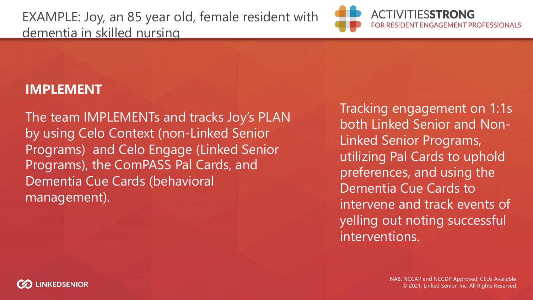EXAMPLE: Joy, an 85 year old, female resident with dementia in skilled nursing



#### **IMPLEMENT**

The team IMPLEMENTs and tracks Joy's PLAN by using Celo Context (non-Linked Senior Programs) and Celo Engage (Linked Senior Programs), the ComPASS Pal Cards, and Dementia Cue Cards (behavioral management).

Tracking engagement on 1:1s both Linked Senior and Non-Linked Senior Programs, utilizing Pal Cards to uphold preferences, and using the Dementia Cue Cards to intervene and track events of yelling out noting successful interventions.



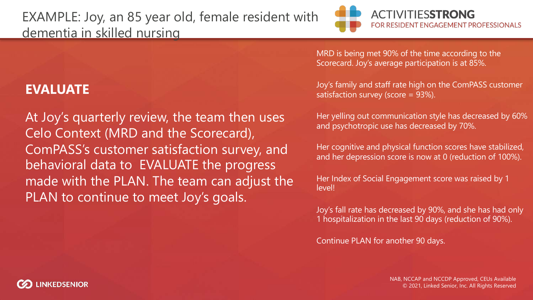EXAMPLE: Joy, an 85 year old, female resident with dementia in skilled nursing



#### **EVALUATE**

At Joy's quarterly review, the team then uses Celo Context (MRD and the Scorecard), ComPASS's customer satisfaction survey, and behavioral data to EVALUATE the progress made with the PLAN. The team can adjust the PLAN to continue to meet Joy's goals.

MRD is being met 90% of the time according to the Scorecard. Joy's average participation is at 85%.

Joy's family and staff rate high on the ComPASS customer satisfaction survey (score = 93%).

Her yelling out communication style has decreased by 60% and psychotropic use has decreased by 70%.

Her cognitive and physical function scores have stabilized, and her depression score is now at 0 (reduction of 100%).

Her Index of Social Engagement score was raised by 1 level!

Joy's fall rate has decreased by 90%, and she has had only 1 hospitalization in the last 90 days (reduction of 90%).

Continue PLAN for another 90 days.

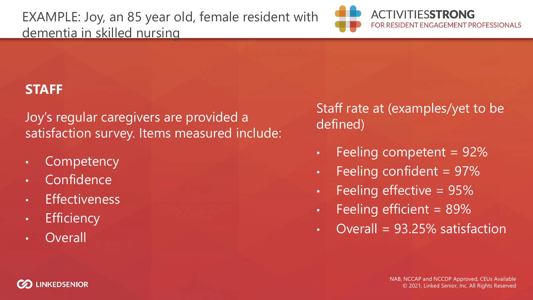EXAMPLE: Joy, an 85 year old, female resident with dementia in skilled nursing



# **STAFF**

Joy's regular caregivers are provided a satisfaction survey. Items measured include:

- Competency
- Confidence
- Effectiveness
- Efficiency
- Overall

Staff rate at (examples/yet to be defined)

- $\cdot$  Feeling competent = 92%
- $\cdot$  Feeling confident = 97%
- Feeling effective  $= 95\%$
- $\cdot$  Feeling efficient = 89%
- Overall = 93.25% satisfaction

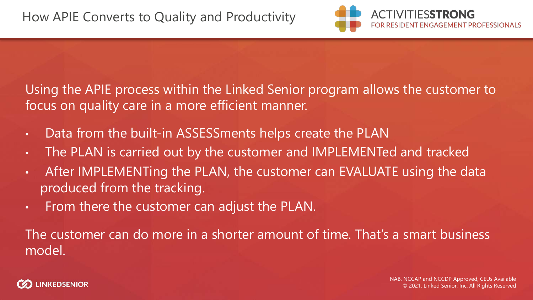

Using the APIE process within the Linked Senior program allows the customer to focus on quality care in a more efficient manner.

- Data from the built-in ASSESSments helps create the PLAN
- The PLAN is carried out by the customer and IMPLEMENTed and tracked
- After IMPLEMENTing the PLAN, the customer can EVALUATE using the data produced from the tracking.
- From there the customer can adjust the PLAN.

The customer can do more in a shorter amount of time. That's a smart business model.

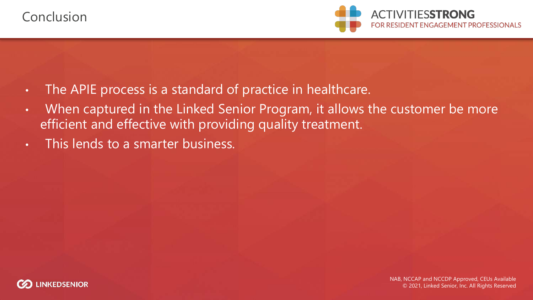

- The APIE process is a standard of practice in healthcare.
- When captured in the Linked Senior Program, it allows the customer be more efficient and effective with providing quality treatment.
- This lends to a smarter business.

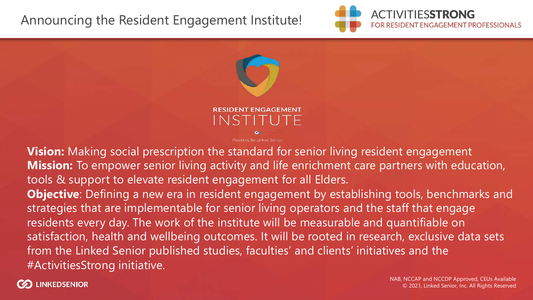



**Vision:** Making social prescription the standard for senior living resident engagement **Mission:** To empower senior living activity and life enrichment care partners with education, tools & support to elevate resident engagement for all Elders.

**Objective**: Defining a new era in resident engagement by establishing tools, benchmarks and strategies that are implementable for senior living operators and the staff that engage residents every day. The work of the institute will be measurable and quantifiable on satisfaction, health and wellbeing outcomes. It will be rooted in research, exclusive data sets from the Linked Senior published studies, faculties' and clients' initiatives and the #ActivitiesStrong initiative.